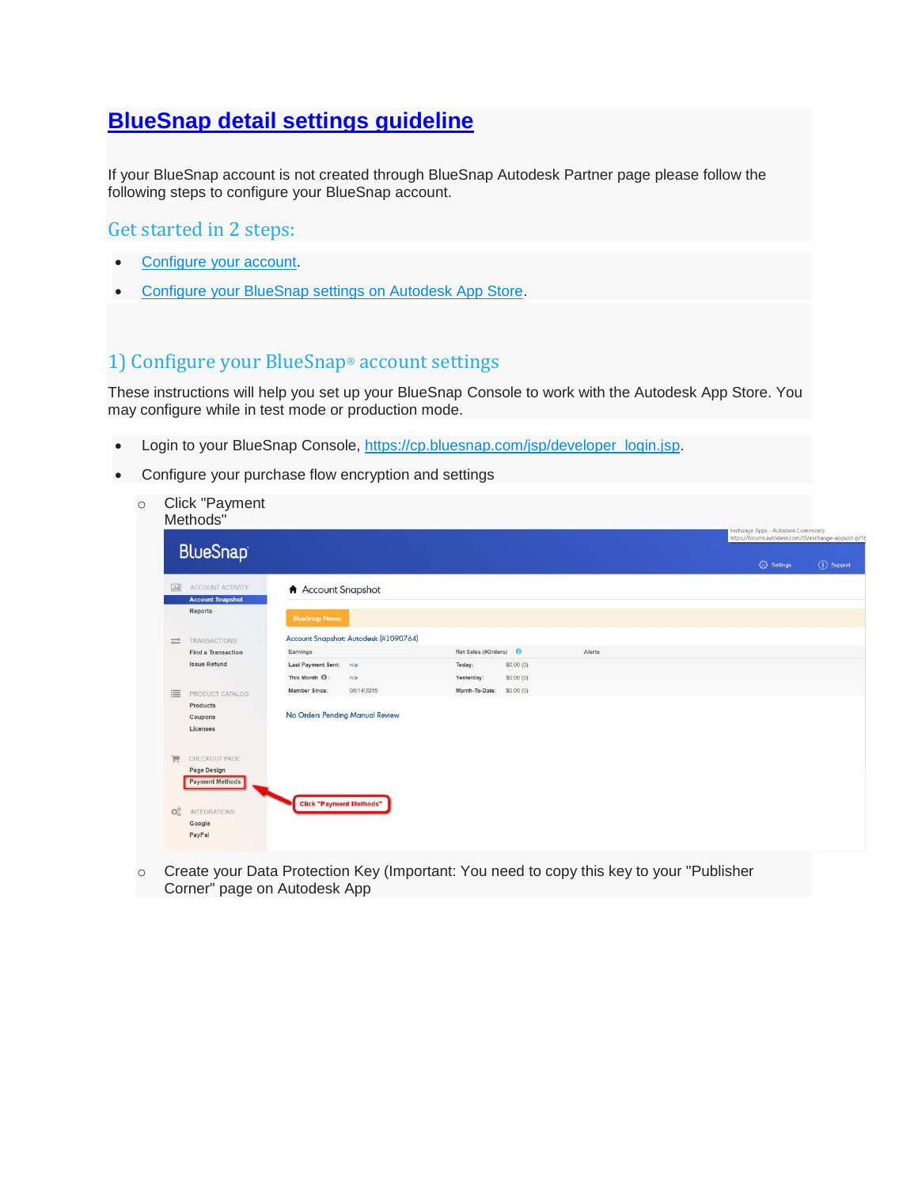## **[BlueSnap detail settings guideline](https://apps.autodesk.com/en/Public/BlueSnapDetailSettings)**

If your BlueSnap account is not created through BlueSnap Autodesk Partner page please follow the following steps to configure your BlueSnap account.

## Get started in 2 steps:

- [Configure your account.](https://apps.autodesk.com/en/Public/BlueSnapDetailSettings#bsfaq_cbs)
- [Configure your BlueSnap settings on Autodesk App Store.](https://apps.autodesk.com/en/Public/BlueSnapDetailSettings#bsfaq_cbsapps)

## 1) Configure your BlueSnap® account settings

These instructions will help you set up your BlueSnap Console to work with the Autodesk App Store. You may configure while in test mode or production mode.

- Login to your BlueSnap Console, [https://cp.bluesnap.com/jsp/developer\\_login.jsp.](https://cp.bluesnap.com/jsp/developer_login.jsp)
- Configure your purchase flow encryption and settings
	- o Click "Payment Methods"

|   |                                                                                                                                                                                                                                                                                |                                    |                |           | Exchange Apps - Autodesk Community<br>https://forums.autodesk.com/t5/exchange-apps/ct-p/16 |  |                         |             |
|---|--------------------------------------------------------------------------------------------------------------------------------------------------------------------------------------------------------------------------------------------------------------------------------|------------------------------------|----------------|-----------|--------------------------------------------------------------------------------------------|--|-------------------------|-------------|
|   |                                                                                                                                                                                                                                                                                |                                    |                |           |                                                                                            |  | <sup>2</sup> े Settings | (i) Support |
| H | ACCOUNT ACTIVITY                                                                                                                                                                                                                                                               | A Account Snapshot                 |                |           |                                                                                            |  |                         |             |
|   | Reports                                                                                                                                                                                                                                                                        | <b>BlueSnap News:</b>              |                |           |                                                                                            |  |                         |             |
|   |                                                                                                                                                                                                                                                                                |                                    |                |           |                                                                                            |  |                         |             |
|   | <b>Find a Transaction</b>                                                                                                                                                                                                                                                      | Earnings                           |                |           | Alerts                                                                                     |  |                         |             |
|   | <b>Issue Refund</b>                                                                                                                                                                                                                                                            | Last Payment Sent: n/a             | Today:         | \$0.00(0) |                                                                                            |  |                         |             |
|   |                                                                                                                                                                                                                                                                                | This Month <sup>(0</sup> ):<br>n/a | Yesterday:     | \$0.00(0) |                                                                                            |  |                         |             |
| 這 | PRODUCT CATALOG                                                                                                                                                                                                                                                                | Member Since:<br>08/14/2015        | Month-To-Date: | \$0.00(0) |                                                                                            |  |                         |             |
|   | Products                                                                                                                                                                                                                                                                       |                                    |                |           |                                                                                            |  |                         |             |
|   |                                                                                                                                                                                                                                                                                |                                    |                |           |                                                                                            |  |                         |             |
|   |                                                                                                                                                                                                                                                                                |                                    |                |           |                                                                                            |  |                         |             |
|   |                                                                                                                                                                                                                                                                                |                                    |                |           |                                                                                            |  |                         |             |
|   |                                                                                                                                                                                                                                                                                |                                    |                |           |                                                                                            |  |                         |             |
|   | <b>Payment Methods</b>                                                                                                                                                                                                                                                         |                                    |                |           |                                                                                            |  |                         |             |
|   |                                                                                                                                                                                                                                                                                |                                    |                |           |                                                                                            |  |                         |             |
| 饶 | <b>INTEGRATIONS</b>                                                                                                                                                                                                                                                            |                                    |                |           |                                                                                            |  |                         |             |
|   | Google                                                                                                                                                                                                                                                                         |                                    |                |           |                                                                                            |  |                         |             |
|   | PayPal                                                                                                                                                                                                                                                                         |                                    |                |           |                                                                                            |  |                         |             |
|   | <b>BlueSnap</b><br><b>Account Snapshot</b><br>Account Snapshot: Autodesk (#1090764)<br><b>TRANSACTIONS</b><br>$\equiv$<br>Net Sales (#Orders)<br>No Orders Pending Manual Review<br>Coupons<br>Licenses<br>CHECKOUT PAGE<br>買<br>Page Design<br><b>Click "Payment Methods"</b> |                                    |                |           |                                                                                            |  |                         |             |

o Create your Data Protection Key (Important: You need to copy this key to your "Publisher Corner" page on Autodesk App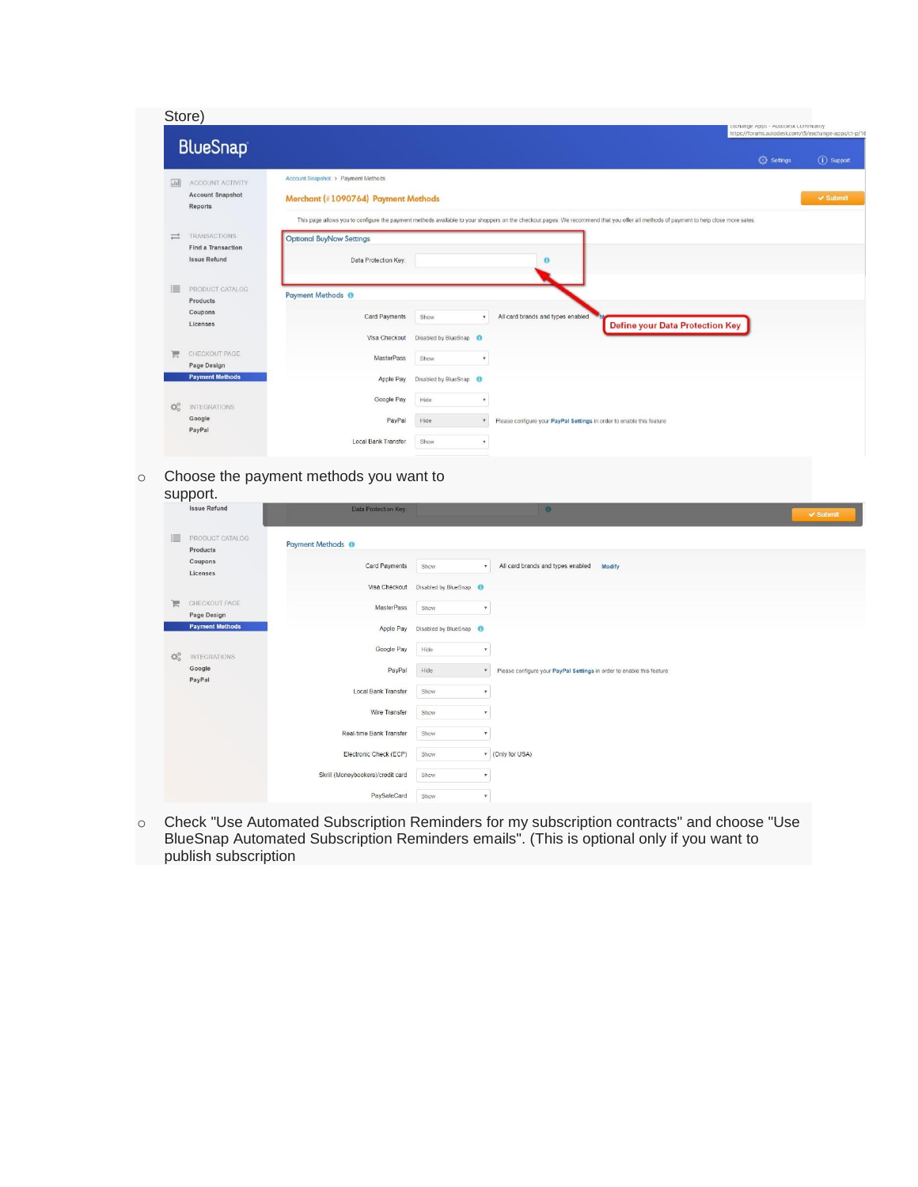| Store)                                                                 |                                                                                                                                                                                                                                                                   | EXChange Apps - Autogesk Community                                 |               |
|------------------------------------------------------------------------|-------------------------------------------------------------------------------------------------------------------------------------------------------------------------------------------------------------------------------------------------------------------|--------------------------------------------------------------------|---------------|
| <b>BlueSnap</b>                                                        |                                                                                                                                                                                                                                                                   | https://forums.autodesk.com/t5/exchange-apps/ct-p/16<br>€ Settings | (i) Support   |
| $\sqrt{111}$<br>ACCOUNT ACTIVITY<br><b>Account Snapshot</b><br>Reports | Account Snapshot > Payment Methods<br>Merchant (#1090764) Payment Methods<br>This page allows you to configure the payment methods available to your shoppers on the checkout pages. We recommend that you offer all methods of payment to help close more sales. |                                                                    | $\vee$ Submit |
| TRANSACTIONS<br>≓<br><b>Find a Transaction</b><br><b>Issue Refund</b>  | <b>Optional BuyNow Settings</b><br>Data Protection Key:<br>$\mathbf{\Theta}$                                                                                                                                                                                      |                                                                    |               |
| 這<br>PRODUCT CATALOG<br>Products<br>Coupons<br>Licenses                | <b>Payment Methods ®</b><br>All card brands and types enabled<br>Card Payments<br>Show<br>$\mathbf{v}$<br><b>Define your Data Protection Key</b>                                                                                                                  |                                                                    |               |
| CHECKOUT PAGE<br>严<br>Page Design<br><b>Payment Methods</b>            | Disabled by BlueSnap <b>O</b><br>Visa Checkout<br>MasterPass<br>Show<br>٠<br>Apple Pay<br>Disabled by BlueSnap <b>O</b>                                                                                                                                           |                                                                    |               |
| C.<br><b>INTEGRATIONS</b><br>Google<br>PayPal                          | Google Pay<br>Hide<br>٠<br>PayPal<br>Hide<br>Please configure your PayPal Settings in order to enable this feature<br>$\mathbf{v}$                                                                                                                                |                                                                    |               |
|                                                                        | Local Bank Transfer<br>Show<br>٠                                                                                                                                                                                                                                  |                                                                    |               |

o Choose the payment methods you want to

| support. |  |
|----------|--|
|----------|--|

|   | support.                     |                                   |                                   |                                                                         |                     |
|---|------------------------------|-----------------------------------|-----------------------------------|-------------------------------------------------------------------------|---------------------|
|   | <b>Issue Refund</b>          | Data Protection Key:              |                                   | $\bullet$                                                               | $\checkmark$ Submit |
| 這 | PRODUCT CATALOG<br>Products  | Payment Methods <sup>O</sup>      |                                   |                                                                         |                     |
|   | Coupons<br>Licenses          | Card Payments                     | Show<br>$\tau$                    | All card brands and types enabled<br>Modify                             |                     |
|   |                              | Visa Checkout                     | Disabled by BlueSnap 6            |                                                                         |                     |
| Ħ | CHECKOUT PAGE<br>Page Design | MasterPass                        | Show<br>٠                         |                                                                         |                     |
|   | <b>Payment Methods</b>       | Apple Pay                         | Disabled by BlueSnap              |                                                                         |                     |
| 媲 | <b>INTEGRATIONS</b>          | Google Pay                        | Hide<br>$\pmb{\mathrm{v}}$        |                                                                         |                     |
|   | Google<br>PayPal             | PayPal                            | Hide                              | * Please configure your PayPal Settings in order to enable this feature |                     |
|   |                              | Local Bank Transfer               | Show<br>٧                         |                                                                         |                     |
|   |                              | Wire Transfer                     | Show<br>$\tau$                    |                                                                         |                     |
|   |                              | Real-time Bank Transfer           | Show<br>$\boldsymbol{\mathrm{v}}$ |                                                                         |                     |
|   |                              | Electronic Check (ECP)            | Show                              | v (Only for USA)                                                        |                     |
|   |                              | Skrill (Moneybookers)/credit card | Show<br>$\boldsymbol{\mathrm{v}}$ |                                                                         |                     |
|   |                              | PaySafeCard                       | Show<br>$\tau$                    |                                                                         |                     |

o Check "Use Automated Subscription Reminders for my subscription contracts" and choose "Use BlueSnap Automated Subscription Reminders emails". (This is optional only if you want to publish subscription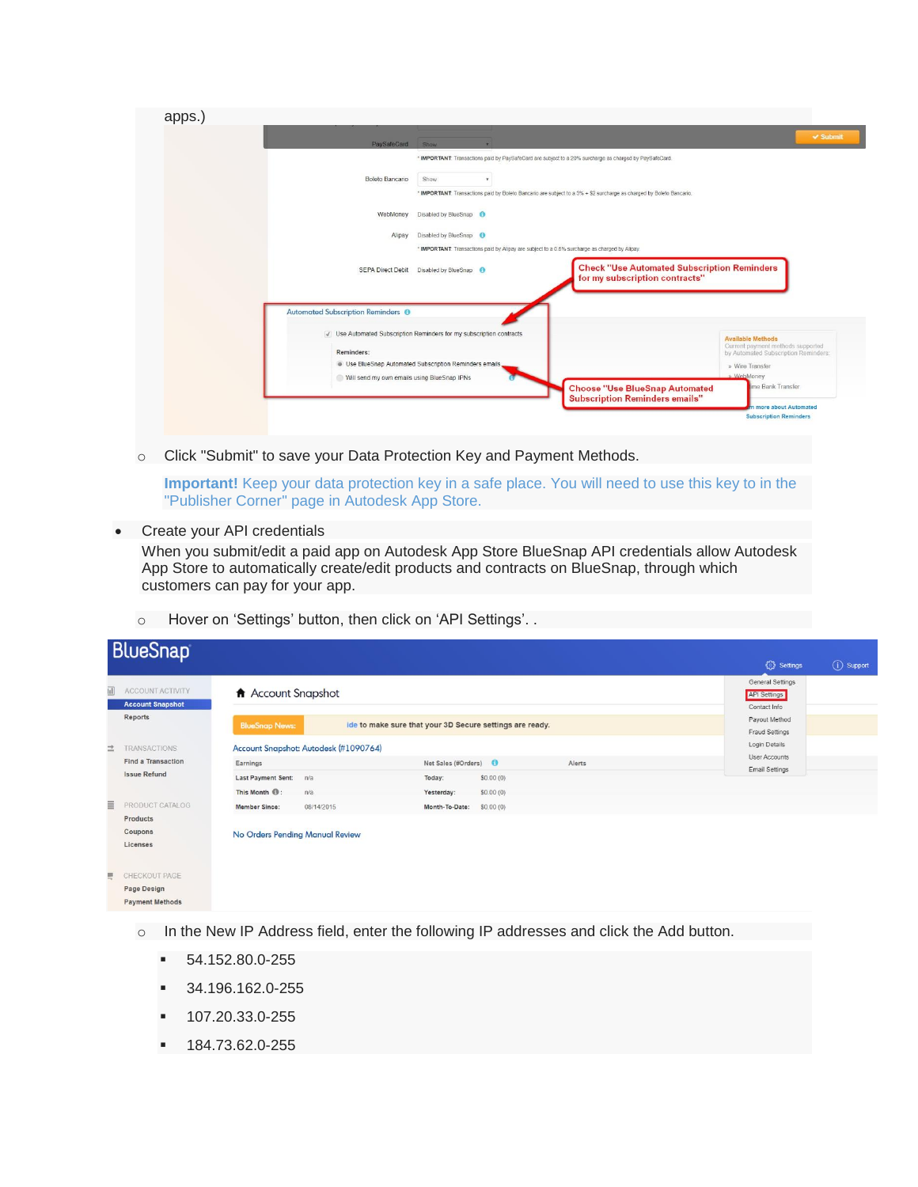| apps. |                                                                                    |                      |                                                                                                                      |                                                                                                       |               |
|-------|------------------------------------------------------------------------------------|----------------------|----------------------------------------------------------------------------------------------------------------------|-------------------------------------------------------------------------------------------------------|---------------|
|       | PaySafeCard                                                                        | Show                 |                                                                                                                      |                                                                                                       | $\vee$ Submit |
|       |                                                                                    |                      | * IMPORTANT: Transactions paid by PaySafeCard are subject to a 20% surcharge as charged by PaySafeCard.              |                                                                                                       |               |
|       | Boleto Bancario                                                                    | Show                 |                                                                                                                      |                                                                                                       |               |
|       |                                                                                    |                      | * IMPORTANT: Transactions paid by Boleto Bancario are subject to a 3% + \$2 surcharge as charged by Boleto Bancario. |                                                                                                       |               |
|       | WebMoney                                                                           | Disabled by BlueSnap |                                                                                                                      |                                                                                                       |               |
|       | Alipay                                                                             | Disabled by BlueSnap |                                                                                                                      |                                                                                                       |               |
|       |                                                                                    |                      | * IMPORTANT: Transactions paid by Alipay are subject to a 0.5% surcharge as charged by Alipay.                       |                                                                                                       |               |
|       | <b>SEPA Direct Debit</b>                                                           | Disabled by BlueSnap | <b>Check "Use Automated Subscription Reminders</b><br>for my subscription contracts"                                 |                                                                                                       |               |
|       | Automated Subscription Reminders <sup>O</sup>                                      |                      |                                                                                                                      |                                                                                                       |               |
|       | √ Use Automated Subscription Reminders for my subscription contracts<br>Reminders: |                      |                                                                                                                      | <b>Available Methods</b><br>Current payment methods supported<br>by Automated Subscription Reminders: |               |
|       | · Use BlueSnap Automated Subscription Reminders emails                             |                      |                                                                                                                      | » Wire Transfer                                                                                       |               |
|       | Will send my own emails using BlueSnap IPNs                                        |                      |                                                                                                                      | » WebMoney<br>ime Bank Transfer                                                                       |               |
|       |                                                                                    |                      | <b>Choose "Use BlueSnap Automated</b><br><b>Subscription Reminders emails"</b>                                       |                                                                                                       |               |
|       |                                                                                    |                      |                                                                                                                      | more about Automated<br><b>Subscription Reminders</b>                                                 |               |
|       |                                                                                    |                      |                                                                                                                      |                                                                                                       |               |

o Click "Submit" to save your Data Protection Key and Payment Methods.

**Important!** Keep your data protection key in a safe place. You will need to use this key to in the "Publisher Corner" page in Autodesk App Store.

Create your API credentials

When you submit/edit a paid app on Autodesk App Store BlueSnap API credentials allow Autodesk App Store to automatically create/edit products and contracts on BlueSnap, through which customers can pay for your app.

o Hover on 'Settings' button, then click on 'API Settings'. .

| <b>BlueSnap</b>                                             |                                                                                                                          | <b>役</b> Settings<br>(i) Support                                         |
|-------------------------------------------------------------|--------------------------------------------------------------------------------------------------------------------------|--------------------------------------------------------------------------|
| 司<br>ACCOUNT ACTIVITY<br><b>Account Snapshot</b><br>Reports | <b>A</b> Account Snapshot                                                                                                | General Settings<br><b>API Settings</b><br>Contact Info<br>Payout Method |
|                                                             | ide to make sure that your 3D Secure settings are ready.<br><b>BlueSnap News:</b>                                        | Fraud Settings<br>Login Details                                          |
| 兰<br><b>TRANSACTIONS</b><br><b>Find a Transaction</b>       | Account Snapshot: Autodesk (#1090764)<br>Net Sales (#Orders)<br>Alerts<br>Earnings                                       | User Accounts<br>Email Settings                                          |
| <b>Issue Refund</b>                                         | <b>Last Payment Sent:</b><br>Today:<br>\$0.00(0)<br>n/a<br>This Month <sup>(1)</sup> :<br>n/a<br>\$0.00(0)<br>Yesterday: |                                                                          |
| Ξ<br>PRODUCT CATALOG<br>Products                            | <b>Member Since:</b><br>08/14/2015<br>Month-To-Date:<br>\$0.00(0)                                                        |                                                                          |
| Coupons<br>Licenses                                         | No Orders Pending Manual Review                                                                                          |                                                                          |
| CHECKOUT PAGE<br>Ę<br>Page Design<br><b>Payment Methods</b> |                                                                                                                          |                                                                          |

- o In the New IP Address field, enter the following IP addresses and click the Add button.
	- 54.152.80.0-255
	- 34.196.162.0-255
	- $-107.20.33.0 255$
	- 184.73.62.0-255